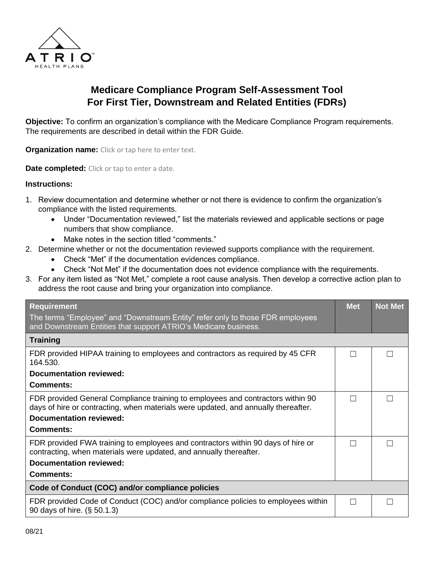

## **Medicare Compliance Program Self-Assessment Tool For First Tier, Downstream and Related Entities (FDRs)**

**Objective:** To confirm an organization's compliance with the Medicare Compliance Program requirements. The requirements are described in detail within the FDR Guide.

**Organization name:** Click or tap here to enter text.

**Date completed:** Click or tap to enter a date.

## **Instructions:**

- 1. Review documentation and determine whether or not there is evidence to confirm the organization's compliance with the listed requirements.
	- Under "Documentation reviewed," list the materials reviewed and applicable sections or page numbers that show compliance.
	- Make notes in the section titled "comments."
- 2. Determine whether or not the documentation reviewed supports compliance with the requirement.
	- Check "Met" if the documentation evidences compliance.
	- Check "Not Met" if the documentation does not evidence compliance with the requirements.
- 3. For any item listed as "Not Met," complete a root cause analysis. Then develop a corrective action plan to address the root cause and bring your organization into compliance.

| <b>Requirement</b><br>The terms "Employee" and "Downstream Entity" refer only to those FDR employees<br>and Downstream Entities that support ATRIO's Medicare business. | <b>Met</b> | <b>Not Met</b> |
|-------------------------------------------------------------------------------------------------------------------------------------------------------------------------|------------|----------------|
| <b>Training</b>                                                                                                                                                         |            |                |
| FDR provided HIPAA training to employees and contractors as required by 45 CFR<br>164.530.                                                                              |            |                |
| Documentation reviewed:                                                                                                                                                 |            |                |
| Comments:                                                                                                                                                               |            |                |
| FDR provided General Compliance training to employees and contractors within 90<br>days of hire or contracting, when materials were updated, and annually thereafter.   |            |                |
| <b>Documentation reviewed:</b>                                                                                                                                          |            |                |
| <b>Comments:</b>                                                                                                                                                        |            |                |
| FDR provided FWA training to employees and contractors within 90 days of hire or<br>contracting, when materials were updated, and annually thereafter.                  |            |                |
| <b>Documentation reviewed:</b>                                                                                                                                          |            |                |
| Comments:                                                                                                                                                               |            |                |
| Code of Conduct (COC) and/or compliance policies                                                                                                                        |            |                |
| FDR provided Code of Conduct (COC) and/or compliance policies to employees within<br>90 days of hire. (§ 50.1.3)                                                        |            |                |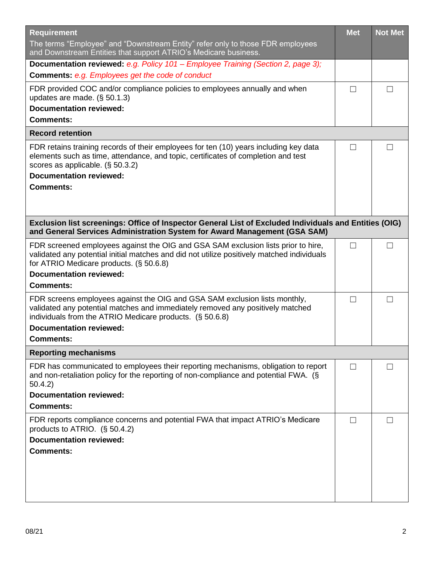| <b>Requirement</b>                                                                                                                                                                                                                                                             | <b>Met</b>        | <b>Not Met</b> |  |  |
|--------------------------------------------------------------------------------------------------------------------------------------------------------------------------------------------------------------------------------------------------------------------------------|-------------------|----------------|--|--|
| The terms "Employee" and "Downstream Entity" refer only to those FDR employees<br>and Downstream Entities that support ATRIO's Medicare business.                                                                                                                              |                   |                |  |  |
| Documentation reviewed: e.g. Policy 101 - Employee Training (Section 2, page 3);<br><b>Comments: e.g. Employees get the code of conduct</b>                                                                                                                                    |                   |                |  |  |
| FDR provided COC and/or compliance policies to employees annually and when<br>updates are made. $(\S 50.1.3)$<br><b>Documentation reviewed:</b><br><b>Comments:</b>                                                                                                            | П                 |                |  |  |
| <b>Record retention</b>                                                                                                                                                                                                                                                        |                   |                |  |  |
| FDR retains training records of their employees for ten (10) years including key data<br>elements such as time, attendance, and topic, certificates of completion and test<br>scores as applicable. $(\S 50.3.2)$<br><b>Documentation reviewed:</b><br><b>Comments:</b>        | $\Box$            |                |  |  |
| Exclusion list screenings: Office of Inspector General List of Excluded Individuals and Entities (OIG)<br>and General Services Administration System for Award Management (GSA SAM)                                                                                            |                   |                |  |  |
| FDR screened employees against the OIG and GSA SAM exclusion lists prior to hire,<br>validated any potential initial matches and did not utilize positively matched individuals<br>for ATRIO Medicare products. (§ 50.6.8)<br><b>Documentation reviewed:</b>                   | П                 | $\Box$         |  |  |
| <b>Comments:</b>                                                                                                                                                                                                                                                               |                   |                |  |  |
| FDR screens employees against the OIG and GSA SAM exclusion lists monthly,<br>validated any potential matches and immediately removed any positively matched<br>individuals from the ATRIO Medicare products. (§ 50.6.8)<br><b>Documentation reviewed:</b><br><b>Comments:</b> | $\Box$            | П              |  |  |
| <b>Reporting mechanisms</b>                                                                                                                                                                                                                                                    |                   |                |  |  |
| FDR has communicated to employees their reporting mechanisms, obligation to report<br>and non-retaliation policy for the reporting of non-compliance and potential FWA. (§<br>50.4.2)<br><b>Documentation reviewed:</b>                                                        | $\vert \ \ \vert$ |                |  |  |
| <b>Comments:</b>                                                                                                                                                                                                                                                               |                   |                |  |  |
| FDR reports compliance concerns and potential FWA that impact ATRIO's Medicare<br>products to ATRIO. $(S 50.4.2)$<br><b>Documentation reviewed:</b><br><b>Comments:</b>                                                                                                        | ĪΙ                |                |  |  |
|                                                                                                                                                                                                                                                                                |                   |                |  |  |